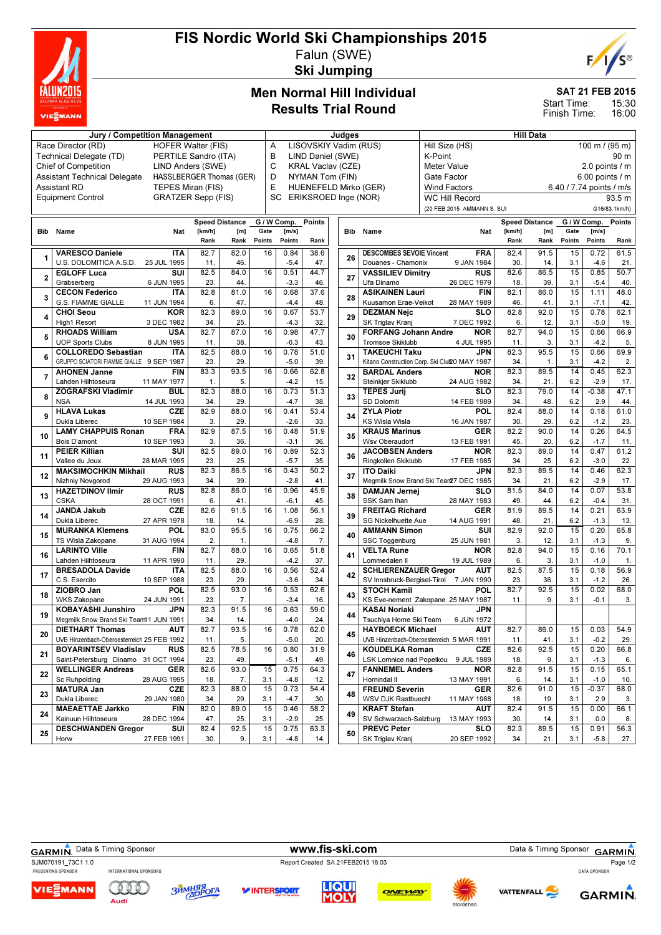

# FIS Nordic World Ski Championships 2015 Falun (SWE)

Ski Jumping



SAT 21 FEB 2015

15:30 16:00 Start Time: Finish Time:

## Men Normal Hill Individual Results Trial Round

| Jury / Competition Management                                   |                                                                  |             |        |                       |             |                                                     | Judges                                       |  |            |                                 | <b>Hill Data</b>                              |                       |                 |                          |             |               |  |  |
|-----------------------------------------------------------------|------------------------------------------------------------------|-------------|--------|-----------------------|-------------|-----------------------------------------------------|----------------------------------------------|--|------------|---------------------------------|-----------------------------------------------|-----------------------|-----------------|--------------------------|-------------|---------------|--|--|
| <b>HOFER Walter (FIS)</b><br>Race Director (RD)                 |                                                                  |             |        |                       |             |                                                     | LISOVSKIY Vadim (RUS)<br>A                   |  |            |                                 | Hill Size (HS)<br>100 m / (95 m)              |                       |                 |                          |             |               |  |  |
| Technical Delegate (TD)<br>PERTILE Sandro (ITA)                 |                                                                  |             |        |                       |             | B<br>LIND Daniel (SWE)<br>K-Point                   |                                              |  |            |                                 |                                               |                       |                 |                          |             | 90 m          |  |  |
| <b>Chief of Competition</b><br>LIND Anders (SWE)                |                                                                  |             |        |                       |             | C<br><b>KRAL Vaclav (CZE)</b><br>Meter Value        |                                              |  |            |                                 |                                               | 2.0 points / m        |                 |                          |             |               |  |  |
| <b>Assistant Technical Delegate</b><br>HASSLBERGER Thomas (GER) |                                                                  |             |        |                       |             |                                                     | D<br>NYMAN Tom (FIN)<br>Gate Factor          |  |            |                                 |                                               |                       | 6.00 points / m |                          |             |               |  |  |
| <b>Assistant RD</b><br>TEPES Miran (FIS)                        |                                                                  |             |        |                       |             |                                                     | HUENEFELD Mirko (GER)<br><b>Wind Factors</b> |  |            |                                 |                                               |                       |                 | 6.40 / 7.74 points / m/s |             |               |  |  |
| <b>Equipment Control</b><br><b>GRATZER Sepp (FIS)</b>           |                                                                  |             |        |                       |             | SC<br>ERIKSROED Inge (NOR)<br><b>WC Hill Record</b> |                                              |  |            |                                 |                                               |                       |                 | 93.5 m                   |             |               |  |  |
|                                                                 |                                                                  |             |        |                       |             |                                                     |                                              |  |            |                                 | (20 FEB 2015 AMMANN S. SUI                    |                       |                 |                          |             | G16/83.1km/h) |  |  |
|                                                                 |                                                                  |             |        |                       |             |                                                     |                                              |  |            |                                 |                                               |                       |                 |                          |             |               |  |  |
|                                                                 |                                                                  |             |        | <b>Speed Distance</b> | G / W Comp. |                                                     | Points                                       |  |            |                                 |                                               | <b>Speed Distance</b> |                 |                          | G / W Comp. | <b>Points</b> |  |  |
| Bib                                                             | Name                                                             | Nat         | [km/h] | [m]                   | Gate        | [m/s]                                               |                                              |  | <b>Bib</b> | Name                            | Nat                                           | [km/h]                | [m]             | Gate                     | [m/s]       |               |  |  |
|                                                                 |                                                                  |             | Rank   | Rank                  | Points      | Points                                              | Rank                                         |  |            |                                 |                                               | Rank                  | Rank            | Points                   | Points      | Rank          |  |  |
| 1                                                               | <b>VARESCO Daniele</b>                                           | <b>ITA</b>  | 82.7   | 82.0                  | 16          | 0.84                                                | 38.6                                         |  | 26         | <b>DESCOMBES SEVOIE Vincent</b> | <b>FRA</b>                                    | 82.4                  | 91.5            | 15                       | 0.72        | 61.5          |  |  |
|                                                                 | U.S. DOLOMITICA A.S.D.                                           | 25 JUL 1995 | 11.    | 46.                   |             | $-5.4$                                              | 47.                                          |  |            | Douanes - Chamonix              | 9 JAN 1984                                    | 30.                   | 14.             | 3.1                      | $-4.6$      | 21.           |  |  |
| $\overline{2}$                                                  | <b>EGLOFF Luca</b>                                               | SUI         | 82.5   | 84.0                  | 16          | 0.51                                                | 44.7                                         |  | 27         | <b>VASSILIEV Dimitry</b>        | <b>RUS</b>                                    | 82.6                  | 86.5            | 15                       | 0.85        | 50.7          |  |  |
|                                                                 | Grabserberg                                                      | 6 JUN 1995  | 23.    | 44.                   |             | $-3.3$                                              | 46.                                          |  |            | Ufa Dinamo                      | 26 DEC 1979                                   | 18.                   | 39.             | 3.1                      | $-5.4$      | 40.           |  |  |
| 3                                                               | <b>CECON Federico</b>                                            | <b>ITA</b>  | 82.8   | 81.0                  | 16          | 0.68                                                | 37.6                                         |  | 28         | <b>ASIKAINEN Lauri</b>          | <b>FIN</b>                                    | 82.1                  | 86.0            | 15                       | 1.11        | 48.0          |  |  |
|                                                                 | G.S. FIAMME GIALLE                                               | 11 JUN 1994 | 6.     | 47.                   |             | $-4.4$                                              | 48.                                          |  |            | Kuusamon Erae-Veikot            | 28 MAY 1989                                   | 46.                   | 41.             | 3.1                      | $-7.1$      | 42            |  |  |
|                                                                 | <b>CHOI Seou</b>                                                 | <b>KOR</b>  | 82.3   | 89.0                  | 16          | 0.67                                                | 53.7                                         |  |            | <b>DEZMAN Nejc</b>              | <b>SLO</b>                                    | 82.8                  | 92.0            | 15                       | 0.78        | 62.1          |  |  |
| 4                                                               | <b>High1 Resort</b>                                              | 3 DEC 1982  | 34.    | 25.                   |             | $-4.3$                                              | 32.                                          |  | 29         | SK Triglav Kranj                | 7 DEC 1992                                    | 6.                    | 12.             | 3.1                      | $-5.0$      | 19            |  |  |
|                                                                 | <b>RHOADS William</b>                                            | <b>USA</b>  | 82.7   | 87.0                  | 16          | 0.98                                                | 47.7                                         |  |            | <b>FORFANG Johann Andre</b>     | <b>NOR</b>                                    | 82.7                  | 94.0            | 15                       | 0.66        | 66.9          |  |  |
| 5                                                               | <b>UOP Sports Clubs</b>                                          | 8 JUN 1995  | 11.    | 38.                   |             | $-6.3$                                              | 43.                                          |  | 30         | <b>Tromsoe Skiklubb</b>         | 4 JUL 1995                                    | 11.                   | 3.              | 3.1                      | $-4.2$      | 5.            |  |  |
|                                                                 | <b>COLLOREDO Sebastian</b>                                       | <b>ITA</b>  | 82.5   | 88.0                  | 16          | 0.78                                                | 51.0                                         |  |            | <b>TAKEUCHI Taku</b>            | <b>JPN</b>                                    | 82.3                  | 95.5            | 15                       | 0.66        | 69.9          |  |  |
| 6                                                               | GRUPPO SCIATORI FIAMME GIALLE 9 SEP 1987                         |             | 23.    | 29.                   |             | $-5.0$                                              | 39.                                          |  | 31         |                                 | Kitano Construction Corp. Ski Clul20 MAY 1987 | 34.                   | 1.              | 3.1                      | $-4.2$      | 2.            |  |  |
|                                                                 | <b>AHONEN Janne</b>                                              | <b>FIN</b>  | 83.3   | 93.5                  | 16          | 0.66                                                | 62.8                                         |  |            | <b>BARDAL Anders</b>            | <b>NOR</b>                                    | 82.3                  | 89.5            | 14                       | 0.45        | 62.3          |  |  |
| $\overline{7}$                                                  | Lahden Hiihtoseura                                               | 11 MAY 1977 | 1.     | 5.                    |             | $-4.2$                                              | 15.                                          |  | 32         | Steinkier Skiklubb              | 24 AUG 1982                                   | 34.                   | 21.             | 6.2                      | $-2.9$      | 17.           |  |  |
|                                                                 | <b>ZOGRAFSKI Vladimir</b>                                        | <b>BUL</b>  | 82.3   | 88.0                  | 16          | 0.73                                                | 51.3                                         |  |            | <b>TEPES Jurij</b>              | <b>SLO</b>                                    | 82.3                  | 79.0            | 14                       | $-0.38$     | 47.1          |  |  |
| 8                                                               | <b>NSA</b>                                                       | 14 JUL 1993 | 34.    | 29.                   |             | $-4.7$                                              | 38.                                          |  | 33         | <b>SD Dolomiti</b>              | 14 FEB 1989                                   | 34.                   | 48.             | 6.2                      | 2.9         | 44.           |  |  |
|                                                                 | <b>HLAVA Lukas</b>                                               | CZE         | 82.9   | 88.0                  | 16          | 0.41                                                | 53.4                                         |  |            | <b>ZYLA Piotr</b>               | POL                                           | 82.4                  | 88.0            | 14                       | 0.18        | 61.0          |  |  |
| 9                                                               | Dukla Liberec                                                    | 10 SEP 1984 | 3.     | 29                    |             | $-2.6$                                              | 33.                                          |  | 34         | <b>KS Wisla Wisla</b>           | 16 JAN 1987                                   | 30.                   | 29.             | 6.2                      | $-1.2$      | 23.           |  |  |
|                                                                 | <b>LAMY CHAPPUIS Ronan</b>                                       | <b>FRA</b>  | 82.9   | 87.5                  | 16          | 0.48                                                | 51.9                                         |  |            | <b>KRAUS Marinus</b>            | <b>GER</b>                                    | 82.2                  | 90.0            | 14                       | 0.26        | 64.5          |  |  |
| 10                                                              | <b>Bois D'amont</b>                                              | 10 SEP 1993 | 3.     | 36.                   |             | $-3.1$                                              | 36.                                          |  | 35         | Wsv Oberaudorf                  | 13 FEB 1991                                   | 45.                   | 20.             | 6.2                      | $-1.7$      | 11.           |  |  |
|                                                                 | <b>PEIER Killian</b>                                             | SUI         | 82.5   | 89.0                  | 16          | 0.89                                                | 52.3                                         |  |            | <b>JACOBSEN Anders</b>          | <b>NOR</b>                                    | 82.3                  | 89.0            | 14                       | 0.47        | 61.2          |  |  |
| 11                                                              | Vallee du Joux                                                   | 28 MAR 1995 | 23.    | 25.                   |             | $-5.7$                                              | 35.                                          |  | 36         | Ringkollen Skiklubb             | 17 FEB 1985                                   | 34.                   | 25.             | 6.2                      | $-3.0$      | 22            |  |  |
|                                                                 | <b>MAKSIMOCHKIN Mikhail</b>                                      | <b>RUS</b>  | 82.3   | 86.5                  | 16          | 0.43                                                | 50.2                                         |  |            | <b>ITO Daiki</b>                | <b>JPN</b>                                    | 82.3                  | 89.5            | 14                       | 0.46        | 62.3          |  |  |
| 12                                                              | Nizhniy Novgorod                                                 | 29 AUG 1993 | 34.    | 39.                   |             | $-2.8$                                              | 41.                                          |  | 37         |                                 | Megmilk Snow Brand Ski Tear27 DEC 1985        | 34.                   | 21.             | 6.2                      | $-2.9$      | 17.           |  |  |
|                                                                 | <b>HAZETDINOV Ilmir</b>                                          | <b>RUS</b>  | 82.8   | 86.0                  | 16          | 0.96                                                | 45.9                                         |  |            | <b>DAMJAN Jernej</b>            | <b>SLO</b>                                    | 81.5                  | 84.0            | 14                       | 0.07        | 53.8          |  |  |
| 13                                                              | <b>CSKA</b>                                                      | 28 OCT 1991 | 6.     | 41.                   |             | $-6.1$                                              | 45.                                          |  | 38         | SSK Sam Ihan                    | 28 MAY 1983                                   | 49.                   | 44.             | 6.2                      | $-0.4$      | 31.           |  |  |
|                                                                 | <b>JANDA Jakub</b>                                               | <b>CZE</b>  | 82.6   | 91.5                  | 16          | 1.08                                                | 56.1                                         |  |            | <b>FREITAG Richard</b>          | <b>GER</b>                                    | 81.9                  | 89.5            | 14                       | 0.21        | 63.9          |  |  |
| 14                                                              | Dukla Liberec                                                    | 27 APR 1978 | 18.    | 14.                   |             | $-6.9$                                              | 28.                                          |  | 39         | SG Nickelhuette Aue             | 14 AUG 1991                                   | 48.                   | 21.             | 6.2                      | $-1.3$      | 13.           |  |  |
|                                                                 | <b>MURANKA Klemens</b>                                           | POL         | 83.0   | 95.5                  | 16          | 0.75                                                | 66.2                                         |  |            | <b>AMMANN Simon</b>             | SUI                                           | 82.9                  | 92.0            | 15                       | 0.20        | 65.8          |  |  |
| 15                                                              | TS Wisla Zakopane                                                | 31 AUG 1994 | 2.     | 1.                    |             | $-4.8$                                              | 7.                                           |  | 40         | SSC Toggenburg                  | 25 JUN 1981                                   | 3.                    | 12.             | 3.1                      | $-1.3$      | 9.            |  |  |
|                                                                 | <b>LARINTO Ville</b>                                             | <b>FIN</b>  | 82.7   | 88.0                  | 16          | 0.65                                                | 51.8                                         |  |            | <b>VELTA Rune</b>               | <b>NOR</b>                                    | 82.8                  | 94.0            | 15                       | 0.16        | 70.1          |  |  |
| 16                                                              | Lahden Hiihtoseura                                               | 11 APR 1990 | 11.    | 29.                   |             | $-4.2$                                              | 37.                                          |  | 41         | Lommedalen II                   | 19 JUL 1989                                   | 6.                    | 3.              | 3.1                      | $-1.0$      | $\mathbf{1}$  |  |  |
|                                                                 | <b>BRESADOLA Davide</b>                                          | <b>ITA</b>  | 82.5   | 88.0                  | 16          | 0.56                                                | 52.4                                         |  |            | <b>SCHLIERENZAUER Gregor</b>    | <b>AUT</b>                                    | 82.5                  | 87.5            | 15                       | 0.18        | 56.9          |  |  |
| 17                                                              | C.S. Esercito                                                    | 10 SEP 1988 | 23.    | 29.                   |             | $-3.6$                                              | 34.                                          |  | 42         |                                 | SV Innsbruck-Bergisel-Tirol 7 JAN 1990        | 23.                   | 36.             | 3.1                      | $-1.2$      | 26.           |  |  |
|                                                                 | ZIOBRO Jan                                                       | POL         | 82.5   | 93.0                  | 16          | 0.53                                                | 62.6                                         |  |            | <b>STOCH Kamil</b>              | POL                                           | 82.7                  | 92.5            | 15                       | 0.02        | 68.0          |  |  |
| 18                                                              | <b>WKS Zakopane</b>                                              | 24 JUN 1991 | 23.    | 7.                    |             | $-3.4$                                              | 16.                                          |  | 43         |                                 | KS Eve-nement Zakopane 25 MAY 1987            | 11.                   | 9.              | 3.1                      | $-0.1$      | 3.            |  |  |
|                                                                 | <b>KOBAYASHI Junshiro</b>                                        | <b>JPN</b>  | 82.3   | 91.5                  | 16          | 0.63                                                | 59.0                                         |  |            | <b>KASAI Noriaki</b>            | <b>JPN</b>                                    |                       |                 |                          |             |               |  |  |
| 19                                                              |                                                                  |             | 34.    | 14.                   |             | $-4.0$                                              | 24.                                          |  | 44         | Tsuchiya Home Ski Team          | 6 JUN 1972                                    |                       |                 |                          |             |               |  |  |
|                                                                 | Megmilk Snow Brand Ski Team11 JUN 1991<br><b>DIETHART Thomas</b> | <b>AUT</b>  | 82.7   | 93.5                  | 16          | 0.78                                                | 62.0                                         |  |            | <b>HAYBOECK Michael</b>         | <b>AUT</b>                                    | 82.7                  | 86.0            | 15                       | 0.03        | 54.9          |  |  |
| 20                                                              |                                                                  |             |        |                       |             |                                                     |                                              |  | 45         |                                 | UVB Hinzenbach-Oberoesterreich 5 MAR 1991     |                       |                 |                          |             |               |  |  |
|                                                                 | UVB Hinzenbach-Oberoesterreich 25 FEB 1992                       |             | 11.    | 5.                    |             | $-5.0$                                              | 20.                                          |  |            |                                 |                                               | 11.                   | 41.             | 3.1                      | $-0.2$      | 29.           |  |  |
| 21                                                              | <b>BOYARINTSEV Vladislav</b>                                     | <b>RUS</b>  | 82.5   | 78.5                  | 16          | 0.80                                                | 31.9                                         |  | 46         | <b>KOUDELKA Roman</b>           | CZE                                           | 82.6                  | 92.5            | 15                       | 0.20        | 66.8          |  |  |
|                                                                 | Saint-Petersburg Dinamo 31 OCT 1994                              |             | 23.    | 49.                   |             | $-5.1$                                              | 49.                                          |  |            |                                 | LSK Lomnice nad Popelkou 9 JUL 1989           | 18.                   | 9.              | 3.1                      | $-1.3$      | 6.            |  |  |
| 22                                                              | <b>WELLINGER Andreas</b>                                         | <b>GER</b>  | 82.6   | 93.0                  | 15          | 0.75                                                | 64.3                                         |  | 47         | <b>FANNEMEL Anders</b>          | <b>NOR</b>                                    | 82.8                  | 91.5            | 15                       | 0.15        | 65.1          |  |  |
|                                                                 | Sc Ruhpolding                                                    | 28 AUG 1995 | 18.    | 7.                    | 3.1         | $-4.8$                                              | 12.                                          |  |            | Hornindal II                    | 13 MAY 1991                                   | 6.                    | 14.             | 3.1                      | $-1.0$      | 10.           |  |  |
| 23                                                              | <b>MATURA Jan</b>                                                | CZE         | 82.3   | 88.0                  | 15          | 0.73                                                | 54.4                                         |  | 48         | <b>FREUND Severin</b>           | <b>GER</b>                                    | 82.6                  | 91.0            | 15                       | $-0.37$     | 68.0          |  |  |
|                                                                 | Dukla Liberec                                                    | 29 JAN 1980 | 34.    | 29.                   | 3.1         | $-4.7$                                              | 30.                                          |  |            | WSV DJK Rastbuechl              | 11 MAY 1988                                   | 18.                   | 19.             | 3.1                      | 2.9         | 3.            |  |  |
| 24                                                              | <b>MAEAETTAE Jarkko</b>                                          | <b>FIN</b>  | 82.0   | 89.0                  | 15          | 0.46                                                | 58.2                                         |  | 49         | <b>KRAFT Stefan</b>             | <b>AUT</b>                                    | 82.4                  | 91.5            | 15                       | 0.00        | 66.1          |  |  |
|                                                                 | Kainuun Hiihtoseura                                              | 28 DEC 1994 | 47.    | 25.                   | 3.1         | $-2.9$                                              | 25.                                          |  |            | SV Schwarzach-Salzburg          | 13 MAY 1993                                   | 30.                   | 14.             | 3.1                      | 0.0         | 8.            |  |  |
| 25                                                              | <b>DESCHWANDEN Gregor</b>                                        | SUI         | 82.4   | 92.5                  | 15          | 0.75                                                | 63.3                                         |  | 50         | <b>PREVC Peter</b>              | <b>SLO</b>                                    | 82.3                  | 89.5            | 15                       | 0.91        | 56.3          |  |  |
|                                                                 | Horw                                                             | 27 FEB 1991 | 30.    | 9.                    | 3.1         | $-4.8$                                              | 14.                                          |  |            | SK Triglav Kranj                | 20 SEP 1992                                   | 34.                   | 21.             | 3.1                      | $-5.8$      | 27.           |  |  |

GARMIN. Data & Timing Sponsor **www.fis-ski.com** Data & Timing Sponsor GARMIN.

VIE<sub>E</sub>MANN

**ЗЙМНЯЯ** 

SJM070191\_73C1 1.0<br>
PRESENTING SPONSOR INTERNATIONAL SPONSORS<br>
PRESENTING SPONSOR INTERNATIONAL SPONSORS

*V***INTERSPORT** 









Page 1/2

QID Audi